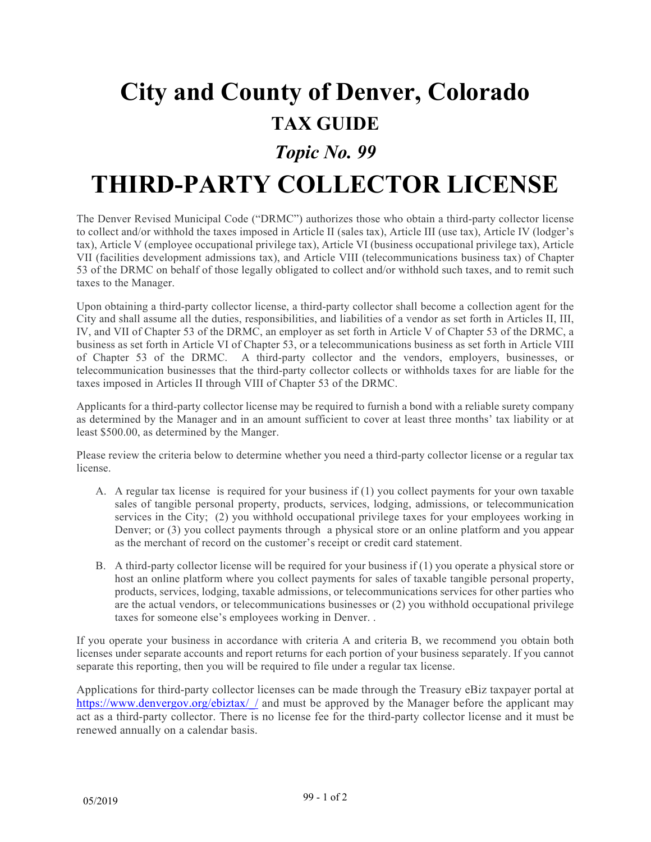# **City and County of Denver, Colorado TAX GUIDE**

### *Topic No. 99*

## **THIRD-PARTY COLLECTOR LICENSE**

The Denver Revised Municipal Code ("DRMC") authorizes those who obtain a third-party collector license to collect and/or withhold the taxes imposed in Article II (sales tax), Article III (use tax), Article IV (lodger's tax), Article V (employee occupational privilege tax), Article VI (business occupational privilege tax), Article VII (facilities development admissions tax), and Article VIII (telecommunications business tax) of Chapter 53 of the DRMC on behalf of those legally obligated to collect and/or withhold such taxes, and to remit such taxes to the Manager.

Upon obtaining a third-party collector license, a third-party collector shall become a collection agent for the City and shall assume all the duties, responsibilities, and liabilities of a vendor as set forth in Articles II, III, IV, and VII of Chapter 53 of the DRMC, an employer as set forth in Article V of Chapter 53 of the DRMC, a business as set forth in Article VI of Chapter 53, or a telecommunications business as set forth in Article VIII of Chapter 53 of the DRMC. A third-party collector and the vendors, employers, businesses, or telecommunication businesses that the third-party collector collects or withholds taxes for are liable for the taxes imposed in Articles II through VIII of Chapter 53 of the DRMC.

Applicants for a third-party collector license may be required to furnish a bond with a reliable surety company as determined by the Manager and in an amount sufficient to cover at least three months' tax liability or at least \$500.00, as determined by the Manger.

Please review the criteria below to determine whether you need a third-party collector license or a regular tax license.

- A. A regular tax license is required for your business if (1) you collect payments for your own taxable sales of tangible personal property, products, services, lodging, admissions, or telecommunication services in the City; (2) you withhold occupational privilege taxes for your employees working in Denver; or (3) you collect payments through a physical store or an online platform and you appear as the merchant of record on the customer's receipt or credit card statement.
- B. A third-party collector license will be required for your business if (1) you operate a physical store or host an online platform where you collect payments for sales of taxable tangible personal property, products, services, lodging, taxable admissions, or telecommunications services for other parties who are the actual vendors, or telecommunications businesses or (2) you withhold occupational privilege taxes for someone else's employees working in Denver. .

If you operate your business in accordance with criteria A and criteria B, we recommend you obtain both licenses under separate accounts and report returns for each portion of your business separately. If you cannot separate this reporting, then you will be required to file under a regular tax license.

Applications for third-party collector licenses can be made through the Treasury eBiz taxpayer portal at https://www.denvergov.org/ebiztax// and must be approved by the Manager before the applicant may act as a third-party collector. There is no license fee for the third-party collector license and it must be renewed annually on a calendar basis.